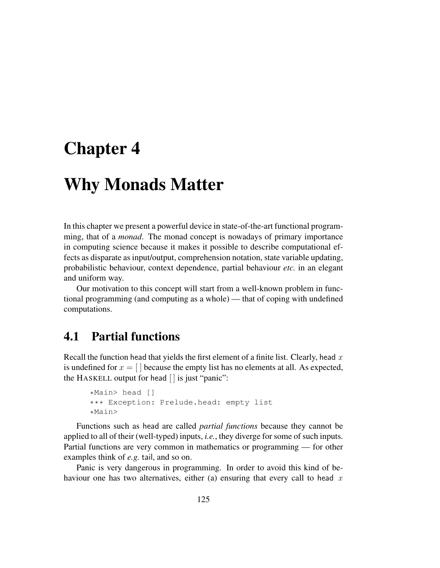# Chapter 4

# Why Monads Matter

In this chapter we present a powerful device in state-of-the-art functional programming, that of a *monad*. The monad concept is nowadays of primary importance in computing science because it makes it possible to describe computational effects as disparate as input/output, comprehension notation, state variable updating, probabilistic behaviour, context dependence, partial behaviour *etc.* in an elegant and uniform way.

Our motivation to this concept will start from a well-known problem in functional programming (and computing as a whole) — that of coping with undefined computations.

## 4.1 Partial functions

Recall the function head that yields the first element of a finite list. Clearly, head  $x$ is undefined for  $x = \lfloor \frac{n}{2} \rfloor$  because the empty list has no elements at all. As expected, the HASKELL output for head  $\vert \vert$  is just "panic":

```
*Main> head []
*** Exception: Prelude.head: empty list
*Main>
```
Functions such as head are called *partial functions* because they cannot be applied to all of their (well-typed) inputs, *i.e.*, they diverge for some of such inputs. Partial functions are very common in mathematics or programming — for other examples think of *e.g.* tail, and so on.

Panic is very dangerous in programming. In order to avoid this kind of behaviour one has two alternatives, either (a) ensuring that every call to head  $x$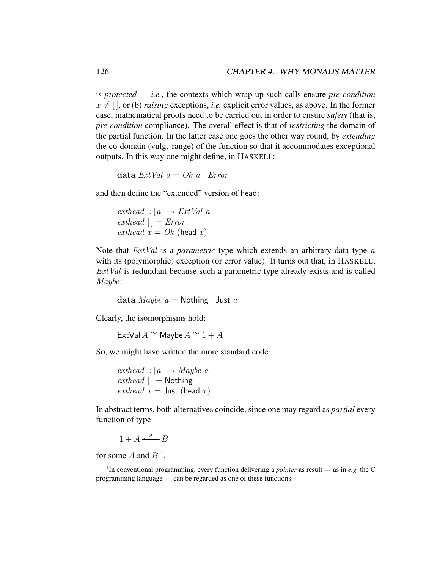is *protected* — *i.e.*, the contexts which wrap up such calls ensure *pre-condition*  $x \neq [ ]$ , or (b) *raising* exceptions, *i.e.* explicit error values, as above. In the former case, mathematical proofs need to be carried out in order to ensure *safety* (that is, *pre-condition* compliance). The overall effect is that of *restricting* the domain of the partial function. In the latter case one goes the other way round, by *extending* the co-domain (vulg. range) of the function so that it accommodates exceptional outputs. In this way one might define, in HASKELL:

data  $ExtVal a = Ok a | Error$ 

and then define the "extended" version of head:

```
exthead :: [a] \rightarrow ExtVal aexthead [ ] = Errorexthead x = Ok (head x)
```
Note that *ExtVal* is a *parametric* type which extends an arbitrary data type a with its (polymorphic) exception (or error value). It turns out that, in HASKELL,  $ExtVal$  is redundant because such a parametric type already exists and is called Maybe:

data *Maybe a* = Nothing | Just *a* 

Clearly, the isomorphisms hold:

ExtVal  $A \cong$  Maybe  $A \cong 1 + A$ 

So, we might have written the more standard code

 $exthead :: [a] \rightarrow Maybe a$  $exthead$   $|$  = Nothing exthead  $x =$  Just (head x)

In abstract terms, both alternatives coincide, since one may regard as *partial* every function of type

 $1 + A \stackrel{g}{\longleftarrow} B$ 

for some A and  $B<sup>1</sup>$ .

<sup>&</sup>lt;sup>1</sup>In conventional programming, every function delivering a *pointer* as result — as in *e.g.* the C programming language — can be regarded as one of these functions.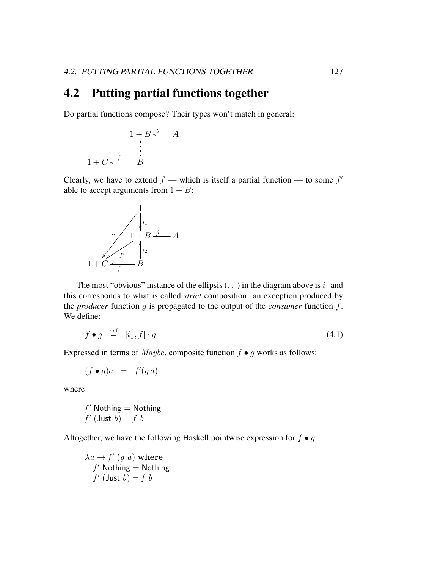#### 4.2 Putting partial functions together

Do partial functions compose? Their types won't match in general:

$$
1 + B \stackrel{g}{\longleftarrow} A
$$
  
 
$$
1 + C \stackrel{f}{\longleftarrow} B
$$

Clearly, we have to extend  $f$  — which is itself a partial function — to some  $f'$ able to accept arguments from  $1 + B$ :



The most "obvious" instance of the ellipsis  $(\ldots)$  in the diagram above is  $i_1$  and this corresponds to what is called *strict* composition: an exception produced by the *producer* function g is propagated to the output of the *consumer* function f. We define:

$$
f \bullet g \stackrel{\text{def}}{=} [i_1, f] \cdot g \tag{4.1}
$$

Expressed in terms of *Maybe*, composite function  $f \bullet g$  works as follows:

$$
(f \bullet g)a = f'(g a)
$$

where

$$
f' \text{ Nothing} = \text{Nothing}
$$
  

$$
f' \text{ (Just } b) = f b
$$

Altogether, we have the following Haskell pointwise expression for  $f \bullet g$ :

$$
\lambda a \rightarrow f' \ (g \ a) \ \textbf{where} \\ f' \ \textsf{Nothing} = \textsf{Nothing} \\ f' \ (\textsf{Just} \ b) = f \ b
$$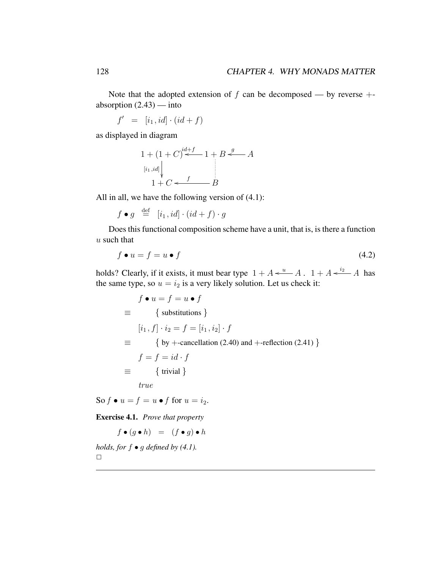Note that the adopted extension of  $f$  can be decomposed — by reverse  $+$ absorption  $(2.43)$  — into

 $f' = [i_1, id] \cdot (id + f)$ 

as displayed in diagram

$$
1 + (1 + C)^{id+f} \longrightarrow 1 + B \longrightarrow A
$$
  
\n
$$
\begin{array}{c}\n[i_1, id] \\
1 + C < \longrightarrow B\n\end{array}
$$

All in all, we have the following version of (4.1):

$$
f \bullet g \stackrel{\text{def}}{=} [i_1, id] \cdot (id + f) \cdot g
$$

Does this functional composition scheme have a unit, that is, is there a function  $u$  such that

$$
f \bullet u = f = u \bullet f \tag{4.2}
$$

holds? Clearly, if it exists, it must bear type  $1 + A \xleftarrow{u} A$ .  $1 + A \xleftarrow{i_2} A$  has the same type, so  $u = i_2$  is a very likely solution. Let us check it:

 $f \bullet u = f = u \bullet f$  $\equiv$  { substitutions }  $[i_1, f] \cdot i_2 = f = [i_1, i_2] \cdot f$  $\equiv$  { by +-cancellation (2.40) and +-reflection (2.41) }  $f = f = id \cdot f$  $\equiv$  { trivial } true

So  $f \bullet u = f = u \bullet f$  for  $u = i_2$ .

Exercise 4.1. *Prove that property*

 $f \bullet (g \bullet h) = (f \bullet g) \bullet h$ 

*holds, for* f • g *defined by (4.1).*  $\Box$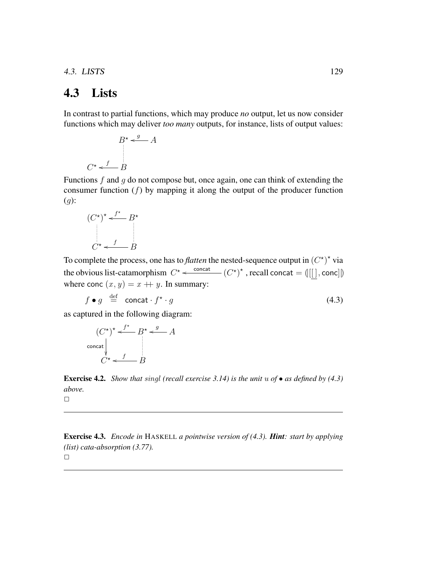4.3. LISTS 129

### 4.3 Lists

In contrast to partial functions, which may produce *no* output, let us now consider functions which may deliver *too many* outputs, for instance, lists of output values:

$$
B^* \xleftarrow{g} A
$$
  

$$
C^* \xleftarrow{f} B
$$

Functions  $f$  and  $g$  do not compose but, once again, one can think of extending the consumer function  $(f)$  by mapping it along the output of the producer function  $(g)$ :

$$
(C^{\star})^{\star} \stackrel{f^{\star}}{\longleftarrow} B^{\star}
$$

$$
C^{\star} \stackrel{f}{\longleftarrow} B
$$

To complete the process, one has to *flatten* the nested-sequence output in  $(C^{\star})^{\star}$  via the obvious list-catamorphism  $C^* \leftarrow \frac{\text{concat}}{\cdot} (C^*)^*$ , recall concat =  $(\lfloor \lfloor \rfloor, \text{conc} \rfloor)$ where conc  $(x, y) = x + y$ . In summary:

$$
f \bullet g \stackrel{\text{def}}{=} \text{concat} \cdot f^{\star} \cdot g \tag{4.3}
$$

as captured in the following diagram:

$$
(C^{\star})^{\star} \xleftarrow{f^{\star}} B^{\star} \xleftarrow{g} A
$$
  
\n
$$
\downarrow C^{\star} \xleftarrow{f} B
$$

Exercise 4.2. *Show that* singl *(recall exercise 3.14) is the unit* u *of* • *as defined by (4.3) above.*

 $\Box$ 

Exercise 4.3. *Encode in* HASKELL *a pointwise version of (4.3). Hint: start by applying (list) cata-absorption (3.77).*  $\Box$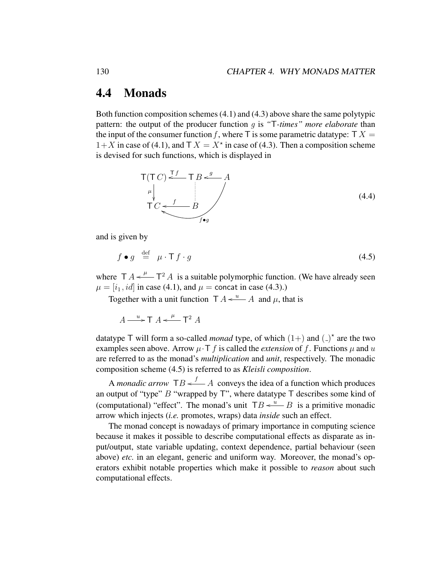#### 4.4 Monads

Both function composition schemes (4.1) and (4.3) above share the same polytypic pattern: the output of the producer function g is *"*T*-times" more elaborate* than the input of the consumer function f, where  $\top$  is some parametric datatype:  $\top X =$  $1+X$  in case of (4.1), and  $\mathsf{T} X = X^*$  in case of (4.3). Then a composition scheme is devised for such functions, which is displayed in

$$
T(T C) \stackrel{T f}{\longleftarrow} T B \stackrel{g}{\longleftarrow} A
$$
  
\n
$$
T C \stackrel{f}{\longleftarrow} B
$$
  
\n
$$
f \bullet g
$$
\n(4.4)

and is given by

$$
f \bullet g \stackrel{\text{def}}{=} \mu \cdot \mathsf{T} f \cdot g \tag{4.5}
$$

where  $T A \leftarrow T^2 A$  is a suitable polymorphic function. (We have already seen  $\mu = [i_1, id]$  in case (4.1), and  $\mu$  = concat in case (4.3).)

Together with a unit function  $T A \leftarrow u$  and  $\mu$ , that is

 $A \longrightarrow T A \leftarrow \mu T^2 A$ 

datatype  $\top$  will form a so-called *monad* type, of which  $(1+)$  and  $($ )<sup>\*</sup> are the two examples seen above. Arrow  $\mu \cdot T$  f is called the *extension* of f. Functions  $\mu$  and  $u$ are referred to as the monad's *multiplication* and *unit*, respectively. The monadic composition scheme (4.5) is referred to as *Kleisli composition*.

A *monadic arrow*  $TB \stackrel{f}{\longleftarrow} A$  conveys the idea of a function which produces an output of "type"  $B$  "wrapped by  $T$ ", where datatype  $T$  describes some kind of (computational) "effect". The monad's unit  $TB \xleftarrow{u} B$  is a primitive monadic arrow which injects (*i.e.* promotes, wraps) data *inside* such an effect.

The monad concept is nowadays of primary importance in computing science because it makes it possible to describe computational effects as disparate as input/output, state variable updating, context dependence, partial behaviour (seen above) *etc.* in an elegant, generic and uniform way. Moreover, the monad's operators exhibit notable properties which make it possible to *reason* about such computational effects.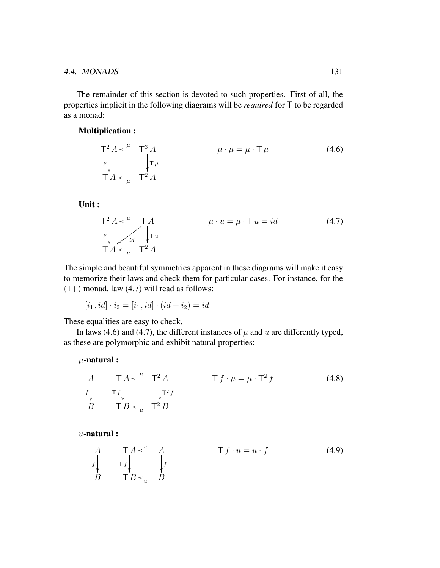The remainder of this section is devoted to such properties. First of all, the properties implicit in the following diagrams will be *required* for T to be regarded as a monad:

#### Multiplication :

$$
\mathsf{T}^{2} A \leftarrow^{\mu} \mathsf{T}^{3} A
$$
\n
$$
\mu \downarrow^{\mathsf{T} \mu}
$$
\n
$$
\downarrow^{\mathsf{T} \mu}
$$
\n
$$
\downarrow^{\mathsf{T} \mu}
$$
\n
$$
\mathsf{T} A \leftarrow^{\mu} \mathsf{T}^{2} A
$$
\n(4.6)

Unit :

$$
\mathsf{T}^{2} A \leftarrow u - \mathsf{T} A
$$
\n
$$
\mu \cdot u = \mu \cdot \mathsf{T} u = id
$$
\n
$$
\mathsf{T} A \leftarrow \mathsf{T} u
$$
\n
$$
\mathsf{T} A \leftarrow \mu \mathsf{T}^{2} A
$$
\n(4.7)

The simple and beautiful symmetries apparent in these diagrams will make it easy to memorize their laws and check them for particular cases. For instance, for the  $(1+)$  monad, law  $(4.7)$  will read as follows:

$$
[i_1, id] \cdot i_2 = [i_1, id] \cdot (id + i_2) = id
$$

These equalities are easy to check.

In laws (4.6) and (4.7), the different instances of  $\mu$  and  $u$  are differently typed, as these are polymorphic and exhibit natural properties:

 $\mu$ -natural :

$$
A \tT A \leftarrow^{\mu} T^{2} A \tT f \cdot \mu = \mu \cdot T^{2} f \t(4.8)
$$
  
\n
$$
B \tT B \leftarrow^{\mu} T^{2} B
$$

 $u$ -natural :

$$
\begin{array}{ccc}\nA & T A \stackrel{u}{\leftarrow} A & T f \cdot u = u \cdot f \\
f \downarrow & f \downarrow & f \\
B & T B \stackrel{u}{\leftarrow} B & H \end{array}
$$
\n(4.9)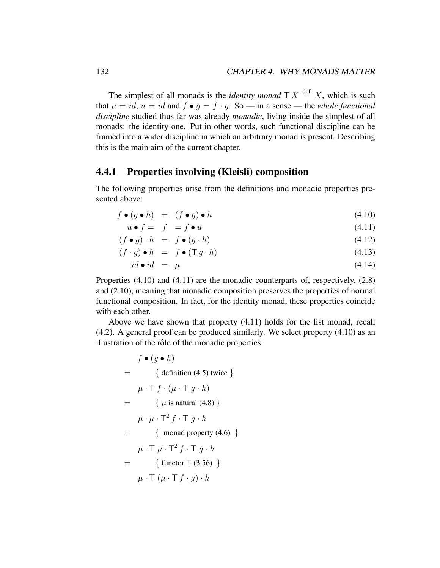The simplest of all monads is the *identity monad*  $\top X \stackrel{\text{def}}{=} X$ , which is such that  $\mu = id$ ,  $u = id$  and  $f \bullet g = f \cdot g$ . So — in a sense — the *whole functional discipline* studied thus far was already *monadic*, living inside the simplest of all monads: the identity one. Put in other words, such functional discipline can be framed into a wider discipline in which an arbitrary monad is present. Describing this is the main aim of the current chapter.

#### 4.4.1 Properties involving (Kleisli) composition

The following properties arise from the definitions and monadic properties presented above:

$$
f \bullet (g \bullet h) = (f \bullet g) \bullet h \tag{4.10}
$$

$$
u \bullet f = f \bullet u \tag{4.11}
$$

$$
(f \bullet g) \cdot h = f \bullet (g \cdot h) \tag{4.12}
$$

$$
(f \cdot g) \bullet h = f \bullet (\mathsf{T} g \cdot h) \tag{4.13}
$$

$$
id \bullet id = \mu \tag{4.14}
$$

Properties  $(4.10)$  and  $(4.11)$  are the monadic counterparts of, respectively,  $(2.8)$ and (2.10), meaning that monadic composition preserves the properties of normal functional composition. In fact, for the identity monad, these properties coincide with each other.

Above we have shown that property (4.11) holds for the list monad, recall (4.2). A general proof can be produced similarly. We select property (4.10) as an illustration of the rôle of the monadic properties:

$$
f \bullet (g \bullet h)
$$
  
= { definition (4.5) twice}  

$$
\mu \cdot \mathsf{T} f \cdot (\mu \cdot \mathsf{T} g \cdot h)
$$
  
= {  $\mu \cdot \mu \cdot \mathsf{T}^2 f \cdot \mathsf{T} g \cdot h$   
= {  $\mu \cdot \mu \cdot \mathsf{T}^2 f \cdot \mathsf{T} g \cdot h$   
= { monad property (4.6) }  

$$
\mu \cdot \mathsf{T} \mu \cdot \mathsf{T}^2 f \cdot \mathsf{T} g \cdot h
$$
  
= { function  $\mathsf{T} (3.56)$  }  

$$
\mu \cdot \mathsf{T} (\mu \cdot \mathsf{T} f \cdot g) \cdot h
$$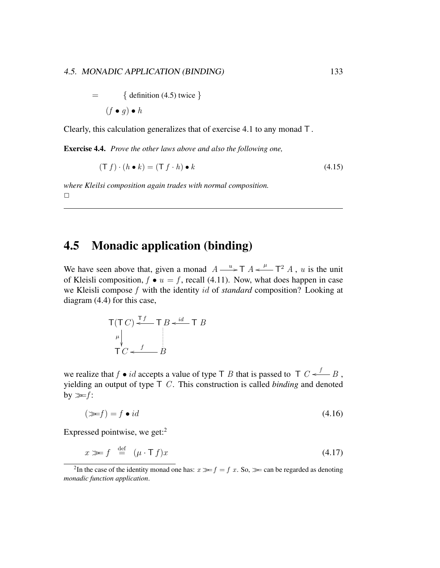$$
= \{ \text{ definition (4.5) twice } \}
$$

$$
(f \bullet g) \bullet h
$$

Clearly, this calculation generalizes that of exercise 4.1 to any monad T .

Exercise 4.4. *Prove the other laws above and also the following one,*

$$
(\mathsf{T} f) \cdot (h \bullet k) = (\mathsf{T} f \cdot h) \bullet k \tag{4.15}
$$

*where Kleilsi composition again trades with normal composition.*  $\Box$ 

## 4.5 Monadic application (binding)

We have seen above that, given a monad  $A \longrightarrow T A \leftarrow \longrightarrow T^2 A$ , u is the unit of Kleisli composition,  $f \bullet u = f$ , recall (4.11). Now, what does happen in case we Kleisli compose f with the identity id of *standard* composition? Looking at diagram (4.4) for this case,

$$
T(T C) \stackrel{T f}{\longleftarrow} T B \stackrel{id}{\longleftarrow} T B
$$
  
\n
$$
\uparrow C \stackrel{f}{\longleftarrow} B
$$

we realize that  $f \bullet id$  accepts a value of type T B that is passed to T  $C \leftarrow B$ , yielding an output of type  $\top C$ . This construction is called *binding* and denoted by  $\gg f$ :

$$
(\ggf) = f \bullet id \tag{4.16}
$$

Expressed pointwise, we get:<sup>2</sup>

$$
x \gg f \stackrel{\text{def}}{=} (\mu \cdot \mathsf{T} f)x \tag{4.17}
$$

<sup>&</sup>lt;sup>2</sup>In the case of the identity monad one has:  $x \gg f = f x$ . So,  $\gg$  can be regarded as denoting *monadic function application*.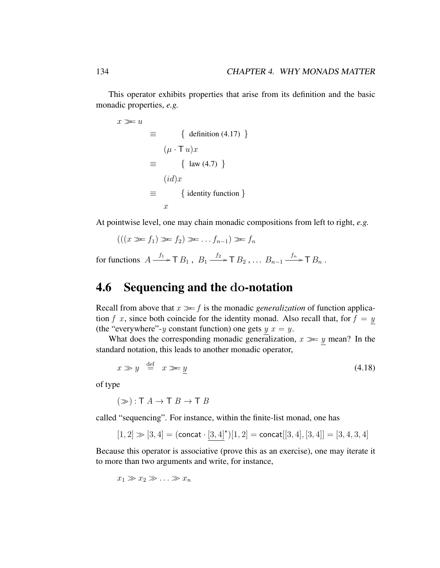This operator exhibits properties that arise from its definition and the basic monadic properties, *e.g.*

$$
x \gg u \equiv \{ \text{ definition (4.17)} \}
$$

$$
\equiv (\mu \cdot \text{T} u)x
$$

$$
\equiv \{ \text{ law (4.7)} \}
$$

$$
(id)x
$$

$$
\equiv \{ \text{identity function} \}
$$

$$
x
$$

At pointwise level, one may chain monadic compositions from left to right, *e.g.*

$$
(((x \gg f_1) \gg f_2) \gg \dots f_{n-1}) \gg f_n
$$

for functions  $A \xrightarrow{f_1} T B_1$ ,  $B_1 \xrightarrow{f_2} T B_2$ , ...  $B_{n-1} \xrightarrow{f_n} T B_n$ .

#### 4.6 Sequencing and the do-notation

Recall from above that  $x \gg f$  is the monadic *generalization* of function application f x, since both coincide for the identity monad. Also recall that, for  $f = y$ (the "everywhere"-y constant function) one gets  $y \, x = y$ .

What does the corresponding monadic generalization,  $x \gg y$  mean? In the standard notation, this leads to another monadic operator,

$$
x \gg y \stackrel{\text{def}}{=} x \gg y \tag{4.18}
$$

of type

 $(\gg) : T A \to T B \to T B$ 

called "sequencing". For instance, within the finite-list monad, one has

$$
[1,2] \gg [3,4] = ({\rm concat} \cdot \underline{[3,4]}^\star)[1,2] = {\rm concat}[[3,4],[3,4]] = [3,4,3,4]
$$

Because this operator is associative (prove this as an exercise), one may iterate it to more than two arguments and write, for instance,

$$
x_1 \gg x_2 \gg \ldots \gg x_n
$$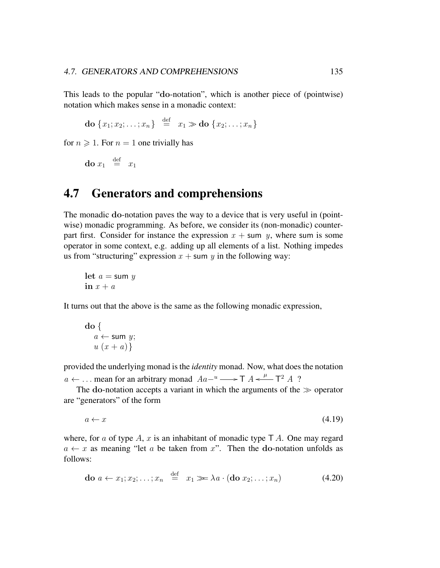This leads to the popular "do-notation", which is another piece of (pointwise) notation which makes sense in a monadic context:

$$
\mathbf{do} \{x_1; x_2; \ldots; x_n\} \stackrel{\text{def}}{=} x_1 \gg \mathbf{do} \{x_2; \ldots; x_n\}
$$

for  $n \geq 1$ . For  $n = 1$  one trivially has

do  $x_1 \stackrel{\text{def}}{=} x_1$ 

### 4.7 Generators and comprehensions

The monadic do-notation paves the way to a device that is very useful in (pointwise) monadic programming. As before, we consider its (non-monadic) counterpart first. Consider for instance the expression  $x + \text{sum } y$ , where sum is some operator in some context, e.g. adding up all elements of a list. Nothing impedes us from "structuring" expression  $x + \text{sum } y$  in the following way:

let  $a = \text{sum } y$ in  $x + a$ 

It turns out that the above is the same as the following monadic expression,

$$
\begin{array}{c}\n\mathbf{do} {\{ \atop a \leftarrow \text{sum } y; \atop u (x + a) \}}\n\end{array}
$$

provided the underlying monad is the *identity* monad. Now, what does the notation  $a \leftarrow \dots$  mean for an arbitrary monad  $Aa^{-u} \longrightarrow T A \leftarrow^{\mu} T^2 A$ ?

The do-notation accepts a variant in which the arguments of the  $\gg$  operator are "generators" of the form

 $a \leftarrow x$  (4.19)

where, for a of type A, x is an inhabitant of monadic type  $TA$ . One may regard  $a \leftarrow x$  as meaning "let a be taken from x". Then the do-notation unfolds as follows:

$$
\mathbf{do} \ a \leftarrow x_1; x_2; \dots; x_n \stackrel{\text{def}}{=} x_1 \ggg \lambda a \cdot (\mathbf{do} \ x_2; \dots; x_n) \tag{4.20}
$$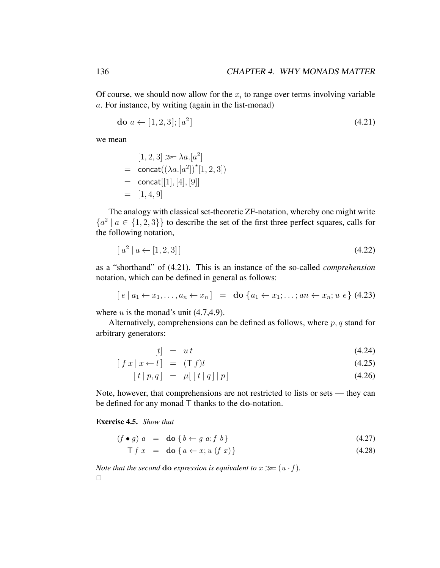Of course, we should now allow for the  $x_i$  to range over terms involving variable a. For instance, by writing (again in the list-monad)

$$
\mathbf{do} \ a \leftarrow [1, 2, 3]; [a^2] \tag{4.21}
$$

we mean

$$
[1, 2, 3] \gg \lambda a . [a2]= \text{concat}((\lambda a . [a2])* [1, 2, 3])= \text{concat}[[1], [4], [9]]= [1, 4, 9]
$$

The analogy with classical set-theoretic ZF-notation, whereby one might write  ${a<sup>2</sup> | a \in \{1,2,3\}\}\$  to describe the set of the first three perfect squares, calls for the following notation,

$$
[a^2 \, | \, a \leftarrow [1, 2, 3]] \tag{4.22}
$$

as a "shorthand" of (4.21). This is an instance of the so-called *comprehension* notation, which can be defined in general as follows:

$$
[e \mid a_1 \leftarrow x_1, \ldots, a_n \leftarrow x_n] = \textbf{do} \{a_1 \leftarrow x_1; \ldots; an \leftarrow x_n; u \ e \} \ (4.23)
$$

where  $u$  is the monad's unit (4.7,4.9).

Alternatively, comprehensions can be defined as follows, where  $p, q$  stand for arbitrary generators:

$$
[t] = ut \tag{4.24}
$$

$$
[fx \mid x \leftarrow l] = (Tf)l \tag{4.25}
$$

$$
[t | p, q] = \mu [ [t | q] | p]
$$
 (4.26)

Note, however, that comprehensions are not restricted to lists or sets — they can be defined for any monad T thanks to the do-notation.

#### Exercise 4.5. *Show that*

$$
(f \bullet g) \ a = \textbf{do} \ \{b \leftarrow g \ a; f \ b\} \tag{4.27}
$$

$$
\mathsf{T} f \ x \ = \ \mathbf{do} \ \{ a \leftarrow x; u \ (f \ x) \} \tag{4.28}
$$

*Note that the second* **do** *expression is equivalent to*  $x \geq (u \cdot f)$ *.* 

 $\Box$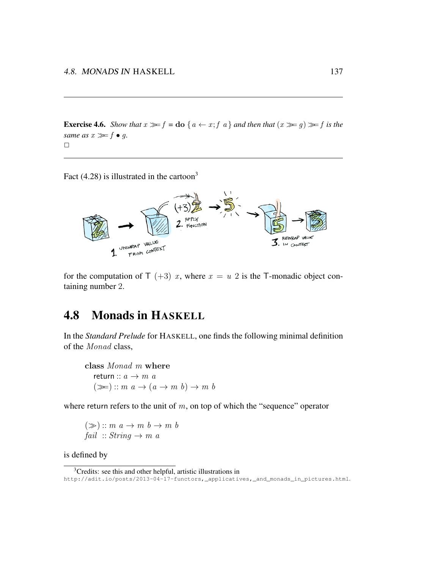**Exercise 4.6.** *Show that*  $x \ge f =$ **do**  $\{a \leftarrow x; f \mid a\}$  *and then that*  $(x \ge g) \ge f$  *is the same as*  $x \gg f \bullet q$ .  $\Box$ 

Fact  $(4.28)$  is illustrated in the cartoon<sup>3</sup>



for the computation of  $\top$  (+3) x, where  $x = u$  2 is the T-monadic object containing number 2.

## 4.8 Monads in HASKELL

In the *Standard Prelude* for HASKELL, one finds the following minimal definition of the Monad class,

class Monad m where return ::  $a \rightarrow m \ a$  $(\ggg): m \; a \to (a \to m \; b) \to m \; b$ 

where return refers to the unit of  $m$ , on top of which the "sequence" operator

$$
(\gg) :: m \ a \to m \ b \to m \ b
$$
  
fail :: String  $\to m \ a$ 

is defined by

<sup>&</sup>lt;sup>3</sup>Credits: see this and other helpful, artistic illustrations in http://adit.io/posts/2013-04-17-functors,\_applicatives,\_and\_monads\_in\_pictures.html.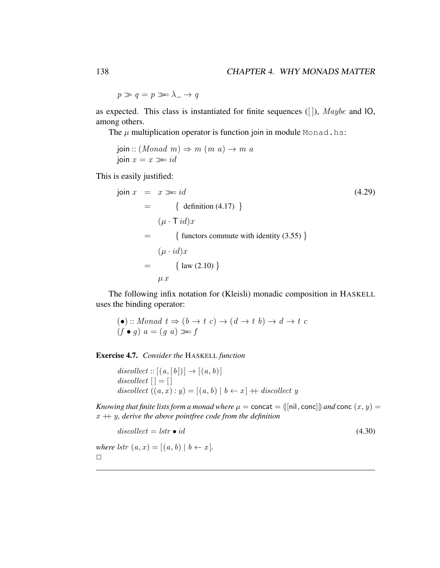$p \gg q = p \gg \lambda \to q$ 

as expected. This class is instantiated for finite sequences ([ ]), Maybe and IO, among others.

The  $\mu$  multiplication operator is function join in module Monad.hs:

join ::  $(Monad \, m) \Rightarrow m \, (m \, a) \rightarrow m \, a$ join  $x = x \gg i d$ 

This is easily justified:

$$
\begin{aligned}\n\text{join } x &= x \gg = id \\
&= \{ \text{ definition (4.17)} \} \\
(\mu \cdot \text{T} \, id)x \\
&= \{ \text{functors commute with identity (3.55)} \} \\
(\mu \cdot id)x \\
&= \{ \text{law (2.10)} \} \\
\mu x\n\end{aligned}
$$

The following infix notation for (Kleisli) monadic composition in HASKELL uses the binding operator:

$$
(\bullet) :: Monad \ t \Rightarrow (b \rightarrow t \ c) \rightarrow (d \rightarrow t \ b) \rightarrow d \rightarrow t \ c
$$
  
( $f \bullet g$ )  $a = (g \ a) \gg f$ 

Exercise 4.7. *Consider the* HASKELL *function*

 $discollect:: [(a, [b])] \rightarrow [(a, b)]$ discollect  $| \cdot | = | \cdot |$ discollect  $((a, x) : y) = [(a, b) | b \leftarrow x] + discrete$ 

*Knowing that finite lists form a monad where*  $\mu$  = concat =  $(\lceil \text{nil}, \text{conc} \rceil)$  *and* conc  $(x, y)$  =  $x + y$ , derive the above point free code from the definition

 $discollect = lstr \bullet id$  (4.30)

*where lstr*  $(a, x) = [(a, b) | b \leftarrow x]$ *.*  $\Box$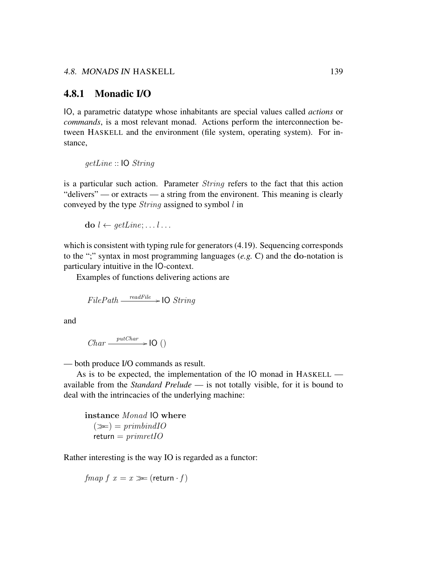#### 4.8.1 Monadic I/O

IO, a parametric datatype whose inhabitants are special values called *actions* or *commands*, is a most relevant monad. Actions perform the interconnection between HASKELL and the environment (file system, operating system). For instance,

getLine :: IO String

is a particular such action. Parameter *String* refers to the fact that this action "delivers" — or extracts — a string from the environent. This meaning is clearly conveyed by the type  $String$  assigned to symbol  $l$  in

$$
\mathbf{do}\ l \leftarrow \mathit{getLine}; \dots l \dots
$$

which is consistent with typing rule for generators (4.19). Sequencing corresponds to the ";" syntax in most programming languages (*e.g.* C) and the do-notation is particulary intuitive in the IO-context.

Examples of functions delivering actions are

$$
FilePath \xrightarrow{readFile} \rightarrow \text{IO String}
$$

and

$$
Char \xrightarrow{\text{putChar}} \text{IO}()
$$

— both produce I/O commands as result.

As is to be expected, the implementation of the IO monad in HASKELL available from the *Standard Prelude* — is not totally visible, for it is bound to deal with the intrincacies of the underlying machine:

instance Monad IO where  $(\gg) = primbindIO$  $return = primretIO$ 

Rather interesting is the way IO is regarded as a functor:

 $fmap f x = x \ggg (return \cdot f)$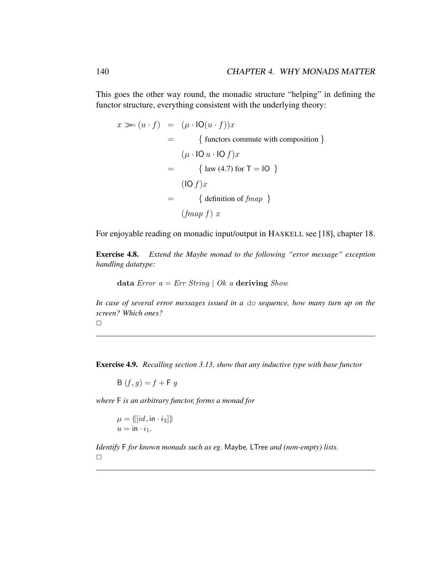This goes the other way round, the monadic structure "helping" in defining the functor structure, everything consistent with the underlying theory:

$$
x \gg (u \cdot f) = (\mu \cdot \text{IO}(u \cdot f))x
$$
  
= { functions commute with composition }  

$$
(\mu \cdot \text{IO} u \cdot \text{IO} f)x
$$
  
= { law (4.7) for T = IO }  

$$
(\text{IO} f)x
$$
  
= { definition of *fmap* }  

$$
(fmap f) x
$$

For enjoyable reading on monadic input/output in HASKELL see [18], chapter 18.

Exercise 4.8. *Extend the Maybe monad to the following "error message" exception handling datatype:*

data Error  $a = Err$  String | Ok a deriving Show

*In case of several error messages issued in a* do *sequence, how many turn up on the screen? Which ones?*

 $\Box$ 

Exercise 4.9. *Recalling section 3.13, show that any inductive type with base functor*

B  $(f, q) = f + F q$ 

*where* F *is an arbitrary functor, forms a monad for*

$$
\mu = ([[id, \text{in} \cdot i_2]])
$$
  

$$
u = \text{in} \cdot i_1.
$$

*Identify* F *for known monads such as eg.* Maybe*,* LTree *and (non-empty) lists.*  $\Box$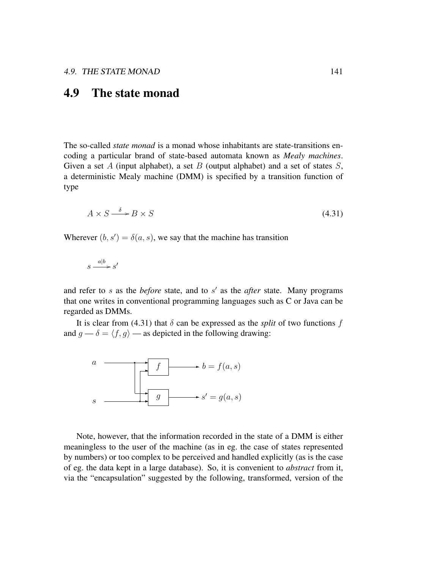#### 4.9 The state monad

The so-called *state monad* is a monad whose inhabitants are state-transitions encoding a particular brand of state-based automata known as *Mealy machines*. Given a set A (input alphabet), a set B (output alphabet) and a set of states  $S$ , a deterministic Mealy machine (DMM) is specified by a transition function of type

$$
A \times S \xrightarrow{\delta} B \times S \tag{4.31}
$$

Wherever  $(b, s') = \delta(a, s)$ , we say that the machine has transition

$$
s \xrightarrow{a|b} s'
$$

and refer to  $s$  as the *before* state, and to  $s'$  as the *after* state. Many programs that one writes in conventional programming languages such as C or Java can be regarded as DMMs.

It is clear from (4.31) that  $\delta$  can be expressed as the *split* of two functions f and  $g \rightarrow \delta = \langle f, g \rangle$  — as depicted in the following drawing:



Note, however, that the information recorded in the state of a DMM is either meaningless to the user of the machine (as in eg. the case of states represented by numbers) or too complex to be perceived and handled explicitly (as is the case of eg. the data kept in a large database). So, it is convenient to *abstract* from it, via the "encapsulation" suggested by the following, transformed, version of the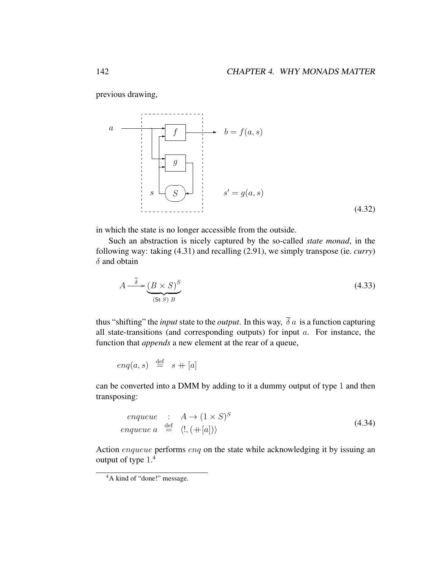previous drawing,

$$
a \longrightarrow f \longrightarrow b = f(a, s)
$$
\n
$$
s \longrightarrow g
$$
\n
$$
s' = g(a, s)
$$
\n(4.32)

in which the state is no longer accessible from the outside.

Such an abstraction is nicely captured by the so-called *state monad*, in the following way: taking (4.31) and recalling (2.91), we simply transpose (ie. *curry*)  $\delta$  and obtain

$$
A \xrightarrow{\overline{\delta}} (\underline{B} \times \underline{S})^S
$$
\n
$$
\xrightarrow{\overline{\delta}} (\text{St } \underline{S})^B
$$
\n
$$
(4.33)
$$

thus "shifting" the *input* state to the *output*. In this way,  $\overline{\delta} a$  is a function capturing all state-transitions (and corresponding outputs) for input  $a$ . For instance, the function that *appends* a new element at the rear of a queue,

$$
\mathit{enq}(a,s) \ \stackrel{\mathrm{def}}{\, = \,} \ s + [a]
$$

can be converted into a DMM by adding to it a dummy output of type 1 and then transposing:

$$
enqueue : A \to (1 \times S)^S
$$
  
\n
$$
enqueue a \stackrel{\text{def}}{=} \langle ', (+[a]) \rangle
$$
\n(4.34)

Action enqueue performs enq on the state while acknowledging it by issuing an output of type 1. 4

<sup>&</sup>lt;sup>4</sup>A kind of "done!" message.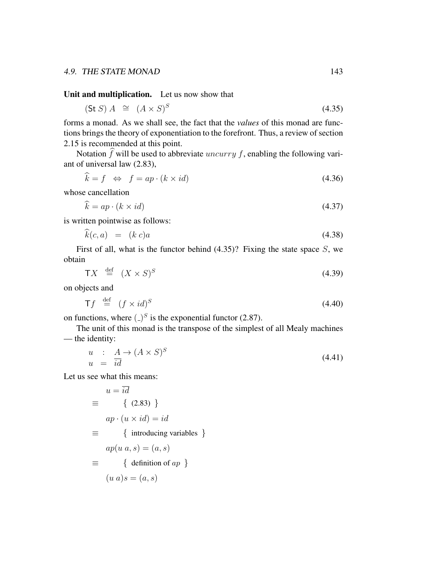Unit and multiplication. Let us now show that

$$
(\text{St } S) A \cong (A \times S)^S \tag{4.35}
$$

forms a monad. As we shall see, the fact that the *values* of this monad are functions brings the theory of exponentiation to the forefront. Thus, a review of section 2.15 is recommended at this point.

Notation  $\hat{f}$  will be used to abbreviate *uncurry f*, enabling the following variant of universal law (2.83),

$$
\hat{k} = f \iff f = ap \cdot (k \times id) \tag{4.36}
$$

whose cancellation

$$
\widehat{k} = ap \cdot (k \times id) \tag{4.37}
$$

is written pointwise as follows:

$$
k(c,a) = (k \ c)a \tag{4.38}
$$

First of all, what is the functor behind  $(4.35)$ ? Fixing the state space S, we obtain

$$
TX \stackrel{\text{def}}{=} (X \times S)^S \tag{4.39}
$$

on objects and

$$
\mathsf{T}f \stackrel{\text{def}}{=} (f \times id)^S \tag{4.40}
$$

on functions, where  $\binom{1}{s}$  is the exponential functor (2.87).

The unit of this monad is the transpose of the simplest of all Mealy machines — the identity:

$$
u : A \to (A \times S)^S
$$
  
\n
$$
u = id
$$
\n(4.41)

Let us see what this means:

$$
u = \overline{id}
$$
  
\n
$$
\equiv \{ (2.83) \}
$$
  
\n
$$
ap \cdot (u \times id) = id
$$
  
\n
$$
\equiv \{ \text{introducing variables } \}
$$
  
\n
$$
ap(u \ a, s) = (a, s)
$$
  
\n
$$
\equiv \{ \text{definition of } ap \}
$$
  
\n
$$
(u \ a) s = (a, s)
$$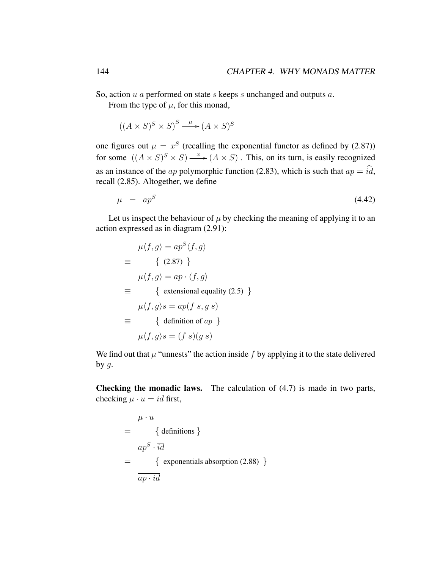So, action  $u$  a performed on state  $s$  keeps  $s$  unchanged and outputs  $a$ .

From the type of  $\mu$ , for this monad,

 $((A \times S)^S \times S)^S \longrightarrow (A \times S)^S$ 

one figures out  $\mu = x^S$  (recalling the exponential functor as defined by (2.87)) for some  $((A \times S)^S \times S) \xrightarrow{x} (A \times S)$ . This, on its turn, is easily recognized as an instance of the *ap* polymorphic function (2.83), which is such that  $ap = \hat{i}\hat{d}$ , recall (2.85). Altogether, we define

$$
\mu = ap^S \tag{4.42}
$$

Let us inspect the behaviour of  $\mu$  by checking the meaning of applying it to an action expressed as in diagram (2.91):

$$
\mu \langle f, g \rangle = ap^S \langle f, g \rangle
$$
  
\n
$$
\equiv \begin{cases}\n\langle 2.87 \rangle \\
\mu \langle f, g \rangle = ap \cdot \langle f, g \rangle\n\end{cases}
$$
  
\n
$$
\equiv \begin{cases}\n\text{extensional equality (2.5) } \\
\mu \langle f, g \rangle s = ap(f \ s, g \ s)\n\end{cases}
$$
  
\n
$$
\equiv \begin{cases}\n\text{definition of } ap \\
\mu \langle f, g \rangle s = (f \ s)(g \ s)\n\end{cases}
$$

We find out that  $\mu$  "unnests" the action inside f by applying it to the state delivered by  $g$ .

Checking the monadic laws. The calculation of (4.7) is made in two parts, checking  $\mu \cdot u = id$  first,

$$
\mu \cdot u
$$
\n
$$
= \{ \text{definitions } \}
$$
\n
$$
ap^{S} \cdot \overline{id}
$$
\n
$$
= \{ \text{exponentsals absorption (2.88)} \}
$$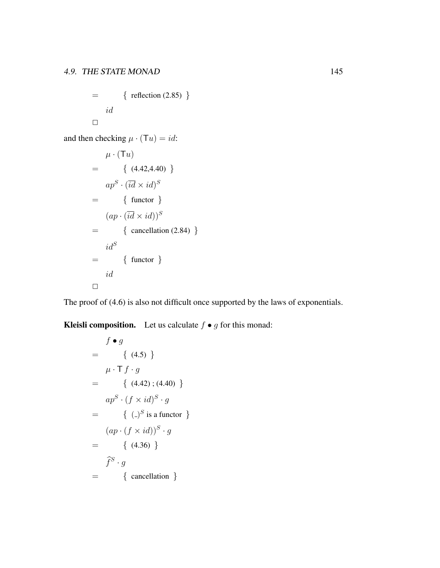$$
= \{ \text{ reflection (2.85)} \}
$$
  

$$
id
$$

and then checking  $\mu \cdot (\mathsf{T} u) = id$ :

$$
\mu \cdot (\mathsf{T}u)
$$
\n
$$
= \{ (4.42, 4.40) \}
$$
\n
$$
ap^{S} \cdot (\overline{id} \times id)^{S}
$$
\n
$$
= \{ \text{functor } \}
$$
\n
$$
(ap \cdot (\overline{id} \times id))^{S}
$$
\n
$$
= \{ \text{cancellation (2.84)} \}
$$
\n
$$
id^{S} \}
$$
\n
$$
id \square
$$

The proof of (4.6) is also not difficult once supported by the laws of exponentials.

**Kleisli composition.** Let us calculate  $f \bullet g$  for this monad:

$$
f \bullet g
$$
  
= { (4.5) }  

$$
\mu \cdot \mathsf{T} f \cdot g
$$
  
= { (4.42) ; (4.40) }  

$$
ap^S \cdot (f \times id)^S \cdot g
$$
  
= { (2.5) is a functor }  

$$
(ap \cdot (f \times id))^S \cdot g
$$
  
= { (4.36) }  

$$
\widehat{f}^S \cdot g
$$
  
= { cancellation }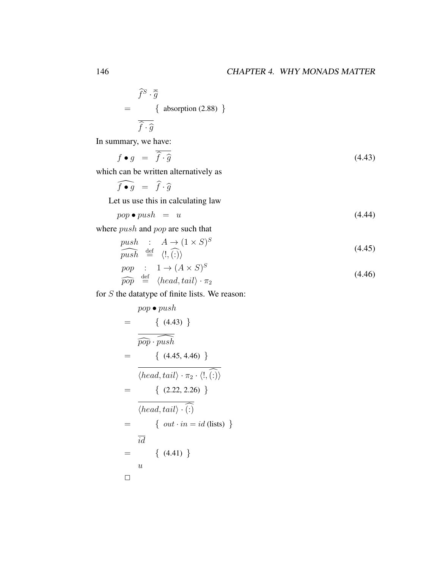$$
\widehat{f}^{S} \cdot \overline{\widehat{g}}
$$
\n
$$
= \{ \text{ absorption (2.88)} \}
$$
\n
$$
\overline{\widehat{f} \cdot \widehat{g}}
$$

In summary, we have:

$$
f \bullet g = \overline{\hat{f} \cdot \hat{g}} \tag{4.43}
$$

which can be written alternatively as

$$
\widehat{f \bullet g} = \widehat{f} \cdot \widehat{g}
$$
  
Let us use this in calculating law

$$
pop \bullet push = u \tag{4.44}
$$

where *push* and *pop* are such that

$$
\frac{push}{push} \stackrel{\text{def}}{=} \langle 1, (1 \times S)^S
$$
\n
$$
\overbrace{push} \stackrel{\text{def}}{=} \langle 1, (1 \times S)^S
$$
\n
$$
(4.45)
$$

$$
\begin{array}{rcl}\n\text{pop} & : & 1 \to (A \times S)^S \\
\hline\n\text{pop} & \stackrel{\text{def}}{=} & \langle head, tail \rangle \cdot \pi_2\n\end{array} \tag{4.46}
$$

for S the datatype of finite lists. We reason:

$$
= \frac{pop \bullet push}{\left\{ (4.43) \right\}}
$$
  
=\frac{\overbrace{\widehat{pop} \cdot push}}{\left\{ (4.45, 4.46) \right\}}  
=\frac{\left\{ (4.45, 4.46) \right\}}{\left\langle head, tail \right\rangle \cdot \overbrace{\widehat{\cdot}}{\widehat{\cdot}}\right\}}  
=\frac{\left\{ (2.22, 2.26) \right\}}{\left\langle head, tail \right\rangle \cdot \overbrace{\widehat{\cdot}}{\widehat{\cdot}}\right\}}  
=\frac{\left\{ out \cdot in = id \text{ (lists)} \right\}}{\overline{id}}  
=\frac{\left\{ (4.41) \right\}}{u}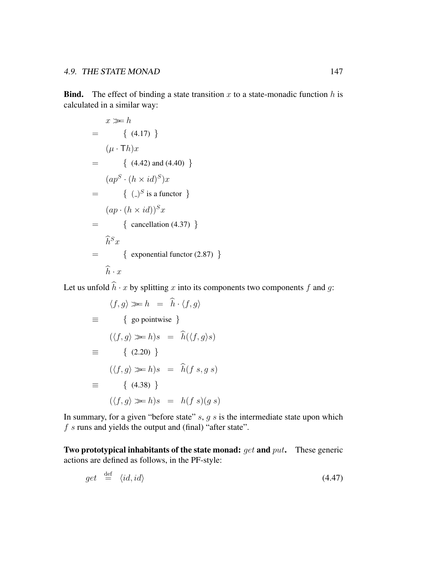**Bind.** The effect of binding a state transition  $x$  to a state-monadic function  $h$  is calculated in a similar way:

$$
x \gg h
$$
  
= { (4.17) }  

$$
(\mu \cdot Th)x
$$
  
= { (4.42) and (4.40) }  

$$
(ap^{S} \cdot (h \times id)^{S})x
$$
  
= { (2) S is a functor }  

$$
(ap \cdot (h \times id))^{S}x
$$
  
= { cancellation (4.37) }  

$$
\hat{h}^{S}x
$$
  
= { exponential functor (2.87) }

Let us unfold  $\hat{h} \cdot x$  by splitting x into its components two components f and g:

$$
\langle f, g \rangle \gg h = \hat{h} \cdot \langle f, g \rangle
$$
  
\n
$$
\equiv \{ \text{go pointwise } \}
$$
  
\n
$$
(\langle f, g \rangle \gg h) s = \hat{h}(\langle f, g \rangle s)
$$
  
\n
$$
\equiv \{ (2.20) \}
$$
  
\n
$$
(\langle f, g \rangle \gg h) s = \hat{h} (f s, g s)
$$
  
\n
$$
\equiv \{ (4.38) \}
$$
  
\n
$$
(\langle f, g \rangle \gg h) s = h (f s) (g s)
$$

In summary, for a given "before state"  $s$ ,  $g s$  is the intermediate state upon which  $f$  s runs and yields the output and (final) "after state".

Two prototypical inhabitants of the state monad:  $get$  and  $put$ . These generic actions are defined as follows, in the PF-style:

$$
get \stackrel{\text{def}}{=} \langle id, id \rangle \tag{4.47}
$$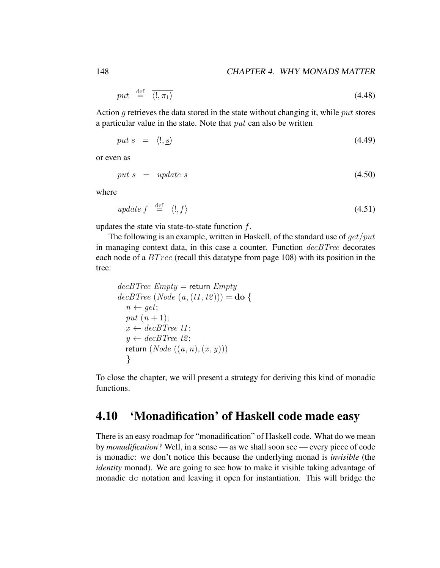$$
put \stackrel{\text{def}}{=} \overline{\langle 1, \pi_1 \rangle} \tag{4.48}
$$

Action g retrieves the data stored in the state without changing it, while put stores a particular value in the state. Note that  $put$  can also be written

$$
put s = \langle!, \underline{s}\rangle \tag{4.49}
$$

or even as

$$
put \, s \quad = \quad update \, \underline{s} \tag{4.50}
$$

where

$$
update \, f \quad \stackrel{\text{def}}{=} \, \langle!, f \rangle \tag{4.51}
$$

updates the state via state-to-state function  $f$ .

The following is an example, written in Haskell, of the standard use of  $qet/put$ in managing context data, in this case a counter. Function  $decBTree$  decorates each node of a *BT ree* (recall this datatype from page 108) with its position in the tree:

$$
decBTree \ Empty = return \ Empty
$$
  
\n
$$
decBTree \ (Node \ (a, (t1, t2))) = do \ \{
$$
  
\n
$$
n \leftarrow get;
$$
  
\n
$$
put \ (n + 1);
$$
  
\n
$$
x \leftarrow decBTree \ t1;
$$
  
\n
$$
y \leftarrow decBTree \ t2;
$$
  
\nreturn \ (Node \ ((a, n), (x, y)))  
\n}

To close the chapter, we will present a strategy for deriving this kind of monadic functions.

#### 4.10 'Monadification' of Haskell code made easy

There is an easy roadmap for "monadification" of Haskell code. What do we mean by *monadification*? Well, in a sense — as we shall soon see — every piece of code is monadic: we don't notice this because the underlying monad is *invisible* (the *identity* monad). We are going to see how to make it visible taking advantage of monadic do notation and leaving it open for instantiation. This will bridge the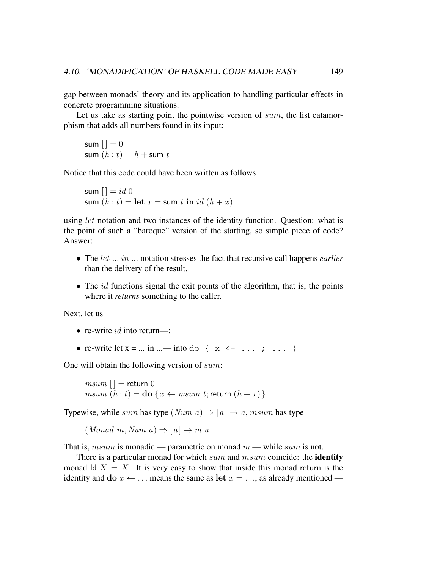gap between monads' theory and its application to handling particular effects in concrete programming situations.

Let us take as starting point the pointwise version of sum, the list catamorphism that adds all numbers found in its input:

```
sum | \cdot | = 0sum (h : t) = h + \text{sum } t
```
Notice that this code could have been written as follows

sum  $| = id \, 0$ sum  $(h : t) = \text{let } x = \text{sum } t \text{ in } id (h + x)$ 

using *let* notation and two instances of the identity function. Question: what is the point of such a "baroque" version of the starting, so simple piece of code? Answer:

- The let ... in ... notation stresses the fact that recursive call happens *earlier* than the delivery of the result.
- The  $id$  functions signal the exit points of the algorithm, that is, the points where it *returns* something to the caller.

Next, let us

- re-write  $id$  into return—;
- re-write let  $x = ...$  in  $...$  into do  $\{x \le \ldots; j \ldots \}$

One will obtain the following version of sum:

 $msum$  [ ] = return 0 msum  $(h : t) =$ **do**  $\{x \leftarrow msum t;$  return  $(h + x)$ }

Typewise, while sum has type  $(Num\ a) \Rightarrow [a] \rightarrow a$ , msum has type

 $(Monad \ m, Num \ a) \Rightarrow [a] \rightarrow m \ a$ 

That is, msum is monadic — parametric on monad  $m$  — while sum is not.

There is a particular monad for which  $sum$  and  $msum$  coincide: the **identity** monad Id  $X = X$ . It is very easy to show that inside this monad return is the identity and do  $x \leftarrow \dots$  means the same as let  $x = \dots$ , as already mentioned —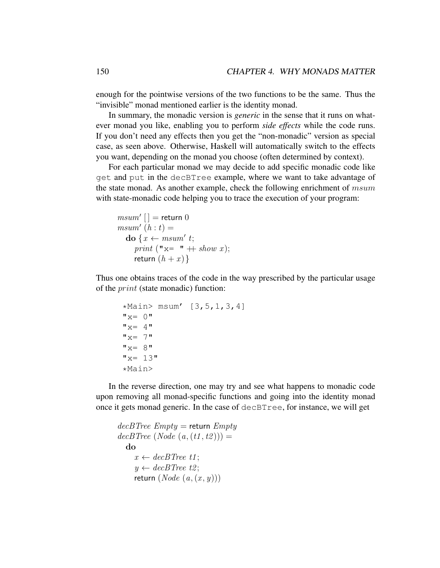enough for the pointwise versions of the two functions to be the same. Thus the "invisible" monad mentioned earlier is the identity monad.

In summary, the monadic version is *generic* in the sense that it runs on whatever monad you like, enabling you to perform *side effects* while the code runs. If you don't need any effects then you get the "non-monadic" version as special case, as seen above. Otherwise, Haskell will automatically switch to the effects you want, depending on the monad you choose (often determined by context).

For each particular monad we may decide to add specific monadic code like get and put in the decBTree example, where we want to take advantage of the state monad. As another example, check the following enrichment of  $msum$ with state-monadic code helping you to trace the execution of your program:

```
msum' [] = return 0msum' (h : t) =\mathbf{do}\; \{x \leftarrow \mathit{msum' } \; t;print ("x= " + show x);
     return (h + x)}
```
Thus one obtains traces of the code in the way prescribed by the particular usage of the print (state monadic) function:

```
*Main> msum' [3, 5, 1, 3, 4]"x= 0""x= 4"'' \times = 7"x = 8"''x= 13"*Main>
```
In the reverse direction, one may try and see what happens to monadic code upon removing all monad-specific functions and going into the identity monad once it gets monad generic. In the case of decBTree, for instance, we will get

```
decBTree \; Empty = return \; EmptydecBTree (Node (a, (t1, t2))) =do
     x \leftarrow decBTree t1;
     y \leftarrow decBTree t2;
     return (Node(a, (x, y)))
```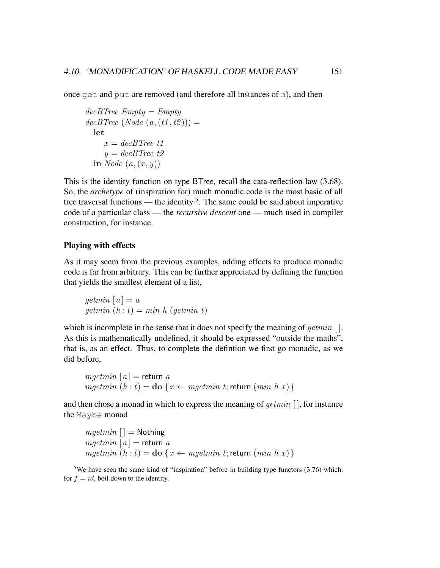once get and put are removed (and therefore all instances of n), and then

```
decBTree \ Empty = EmptydecBTree (Node(a, (t1, t2))) =let
    x = decBTree t1
    y = decBTree t2in Node (a, (x, y))
```
This is the identity function on type BTree, recall the cata-reflection law (3.68). So, the *archetype* of (inspiration for) much monadic code is the most basic of all tree traversal functions — the identity  $5$ . The same could be said about imperative code of a particular class — the *recursive descent* one — much used in compiler construction, for instance.

#### Playing with effects

As it may seem from the previous examples, adding effects to produce monadic code is far from arbitrary. This can be further appreciated by defining the function that yields the smallest element of a list,

$$
getmin [a] = a
$$
  
getmin (h : t) = min h (getmin t)

which is incomplete in the sense that it does not specify the meaning of  $qetmin$  []. As this is mathematically undefined, it should be expressed "outside the maths", that is, as an effect. Thus, to complete the defintion we first go monadic, as we did before,

 $mqetmin [a] =$  return a mgetmin  $(h : t) =$ **do**  $\{x \leftarrow mgetmin t;$  return  $(min h x)$ 

and then chose a monad in which to express the meaning of getmin [ ], for instance the Maybe monad

 $mgetmin$   $|$  = Nothing  $mqetmin [a] =$  return a mgetmin  $(h : t) =$ **do**  $\{x \leftarrow mgetmin t;$  return  $(min h x)$ 

<sup>5</sup>We have seen the same kind of "inspiration" before in building type functors (3.76) which, for  $f = id$ , boil down to the identity.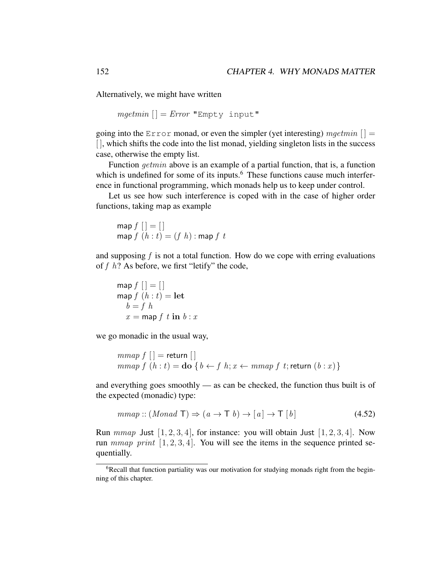Alternatively, we might have written

$$
mgetmin\left[\,\right]=Error\ \texttt{"Empty input"}
$$

going into the Error monad, or even the simpler (yet interesting) mgetmin  $[$   $] =$ [], which shifts the code into the list monad, yielding singleton lists in the success case, otherwise the empty list.

Function getmin above is an example of a partial function, that is, a function which is undefined for some of its inputs.<sup>6</sup> These functions cause much interference in functional programming, which monads help us to keep under control.

Let us see how such interference is coped with in the case of higher order functions, taking map as example

$$
\operatorname{map} f [] = []
$$
  

$$
\operatorname{map} f (h : t) = (f h) : \operatorname{map} f t
$$

and supposing  $f$  is not a total function. How do we cope with erring evaluations of  $f \, h$ ? As before, we first "letify" the code,

$$
\begin{aligned}\n\text{map } f \left[ \right] &= \left[ \right] \\
\text{map } f \left( h : t \right) &= \text{let} \\
b &= f h \\
x &= \text{map } f \ t \ \text{in} \ b : x\n\end{aligned}
$$

we go monadic in the usual way,

$$
\begin{array}{c}\n \text{mmap } f \; [] = \text{return } [] \\
 \text{mmap } f \; (h:t) = \text{do } \{ \, b \leftarrow f \; h; x \leftarrow mmap \; f \; t; \text{return } (b:x) \, \} \n \end{array}
$$

and everything goes smoothly — as can be checked, the function thus built is of the expected (monadic) type:

$$
mmap::(Monad T) \Rightarrow (a \to T b) \to [a] \to T [b]
$$
\n(4.52)

Run  $mmap$  Just  $[1, 2, 3, 4]$ , for instance: you will obtain Just  $[1, 2, 3, 4]$ . Now run  $mmap$  print  $[1, 2, 3, 4]$ . You will see the items in the sequence printed sequentially.

<sup>&</sup>lt;sup>6</sup>Recall that function partiality was our motivation for studying monads right from the beginning of this chapter.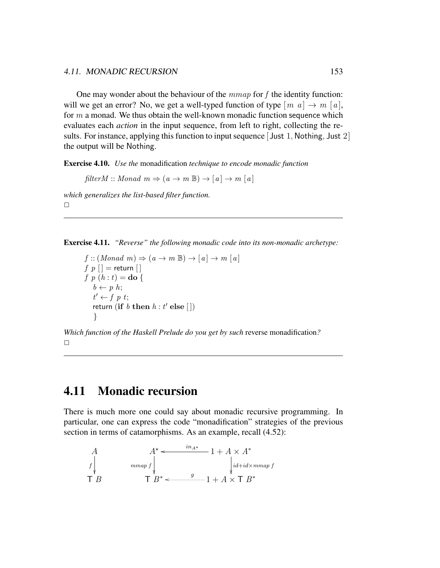One may wonder about the behaviour of the  $mmap$  for f the identity function: will we get an error? No, we get a well-typed function of type  $[m\ a]\rightarrow m\ [a]$ , for  $m$  a monad. We thus obtain the well-known monadic function sequence which evaluates each *action* in the input sequence, from left to right, collecting the results. For instance, applying this function to input sequence  $\lceil$  Just 1, Nothing, Just 2 $\rceil$ the output will be Nothing.

Exercise 4.10. *Use the* monadification *technique to encode monadic function*

 $filterM :: Monad \, m \Rightarrow (a \rightarrow m \mathbb{B}) \rightarrow [a] \rightarrow m [a]$ 

*which generalizes the list-based filter function.*  $\Box$ 

Exercise 4.11. *"Reverse" the following monadic code into its non-monadic archetype:*

 $f: (Monad \, m) \Rightarrow (a \rightarrow m \mathbb{B}) \rightarrow [a] \rightarrow m [a]$  $f p [] =$  return  $[]$ f p  $(h : t) =$ **do** {  $b \leftarrow p h;$  $t' \leftarrow f \, p \, t;$ return (if  $b$  then  $h:t'$  else  $[\,])$ }

*Which function of the Haskell Prelude do you get by such* reverse monadification*?*  $\Box$ 

### 4.11 Monadic recursion

There is much more one could say about monadic recursive programming. In particular, one can express the code "monadification" strategies of the previous section in terms of catamorphisms. As an example, recall (4.52):

A  
\nf  
\n
$$
\uparrow
$$
\n
$$
A^* \leftarrow
$$
\n
$$
i\frac{a}{d} + i\frac{a}{d} \times A^*
$$
\n
$$
j\frac{d}{d} + i\frac{a}{d} \times m m a p f
$$
\n
$$
\uparrow B^*
$$
\n
$$
B^* \leftarrow
$$
\n
$$
g
$$
\n
$$
1 + A \times T B^*
$$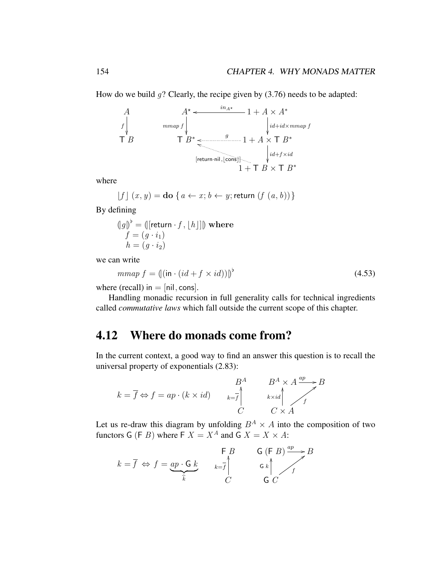How do we build  $g$ ? Clearly, the recipe given by (3.76) needs to be adapted:



where

$$
\lfloor f \rfloor (x, y) = \text{do} \{ a \leftarrow x; b \leftarrow y; \text{return } (f (a, b)) \}
$$

By defining

$$
\langle \mathbf{g} \rangle^{\flat} = (\langle \mathbf{f} \rangle \mathbf{g} \cdot \mathbf{g} \cdot \mathbf{g} \cdot \mathbf{g} \cdot \mathbf{g} \cdot \mathbf{g} \cdot \mathbf{g} \cdot \mathbf{g} \cdot \mathbf{g} \cdot \mathbf{g} \cdot \mathbf{g} \cdot \mathbf{g} \cdot \mathbf{g} \cdot \mathbf{g} \cdot \mathbf{g} \cdot \mathbf{g} \cdot \mathbf{g} \cdot \mathbf{g} \cdot \mathbf{g} \cdot \mathbf{g} \cdot \mathbf{g} \cdot \mathbf{g} \cdot \mathbf{g} \cdot \mathbf{g} \cdot \mathbf{g} \cdot \mathbf{g} \cdot \mathbf{g} \cdot \mathbf{g} \cdot \mathbf{g} \cdot \mathbf{g} \cdot \mathbf{g} \cdot \mathbf{g} \cdot \mathbf{g} \cdot \mathbf{g} \cdot \mathbf{g} \cdot \mathbf{g} \cdot \mathbf{g} \cdot \mathbf{g} \cdot \mathbf{g} \cdot \mathbf{g} \cdot \mathbf{g} \cdot \mathbf{g} \cdot \mathbf{g} \cdot \mathbf{g} \cdot \mathbf{g} \cdot \mathbf{g} \cdot \mathbf{g} \cdot \mathbf{g} \cdot \mathbf{g} \cdot \mathbf{g} \cdot \mathbf{g} \cdot \mathbf{g} \cdot \mathbf{g} \cdot \mathbf{g} \cdot \mathbf{g} \cdot \mathbf{g} \cdot \mathbf{g} \cdot \mathbf{g} \cdot \mathbf{g} \cdot \mathbf{g} \cdot \mathbf{g} \cdot \mathbf{g} \cdot \mathbf{g} \cdot \mathbf{g} \cdot \mathbf{g} \cdot \mathbf{g} \cdot \mathbf{g} \cdot \mathbf{g} \cdot \mathbf{g} \cdot \mathbf{g} \cdot \mathbf{g} \cdot \mathbf{g} \cdot \mathbf{g} \cdot \mathbf{g} \cdot \mathbf{g} \cdot \mathbf{g} \cdot \mathbf{g} \cdot \mathbf{g} \cdot \mathbf{g} \cdot \mathbf{g} \cdot \mathbf{g} \cdot \mathbf{g} \cdot \mathbf{g} \cdot \mathbf{g} \cdot \mathbf{g} \cdot \mathbf{g} \cdot \mathbf{g} \cdot \mathbf{g} \cdot \mathbf{g} \cdot \mathbf{g} \cdot \mathbf{g} \cdot \mathbf{g} \
$$

we can write

$$
mmap f = (\left| (\text{in} \cdot (id + f \times id)) \right|)^{\flat}
$$
\n(4.53)

where (recall) in  $=$  [nil, cons].

Handling monadic recursion in full generality calls for technical ingredients called *commutative laws* which fall outside the current scope of this chapter.

### 4.12 Where do monads come from?

In the current context, a good way to find an answer this question is to recall the universal property of exponentials (2.83):



Let us re-draw this diagram by unfolding  $B^A \times A$  into the composition of two functors G (F B) where F  $X = X^A$  and G  $X = X \times A$ :

$$
k = \overline{f} \iff f = \underbrace{ap \cdot G \cdot k}_{\widehat{k}} \qquad \begin{array}{c} \mathsf{F} \ B \\ \begin{array}{c} \vdots \\ k = \overline{f} \\ C \end{array} \end{array} \qquad \begin{array}{c} \mathsf{G} \ (\mathsf{F} \ B) \xrightarrow{ap} \mathsf{B} \\ \begin{array}{c} \mathsf{G} \ \mathsf{K} \\ \end{array} \end{array}
$$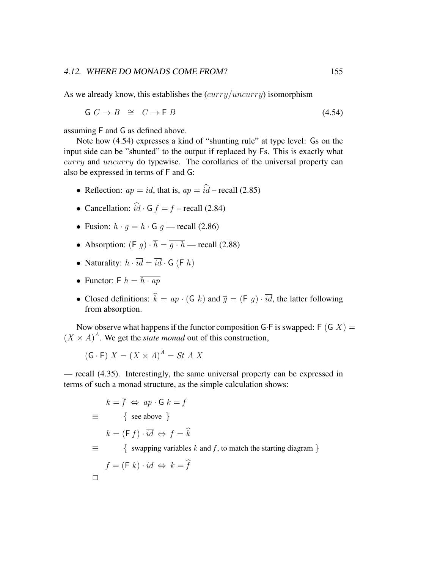As we already know, this establishes the  $(carry/uncarry)$  isomorphism

 $G \colon C \to B \cong C \to F \times B$  (4.54)

assuming F and G as defined above.

Note how (4.54) expresses a kind of "shunting rule" at type level: Gs on the input side can be "shunted" to the output if replaced by Fs. This is exactly what curry and uncurry do typewise. The corollaries of the universal property can also be expressed in terms of F and G:

- Reflection:  $\overline{ap} = id$ , that is,  $ap = \hat{i}\hat{d}$  recall (2.85)
- Cancellation:  $\hat{i}\hat{d} \cdot \mathsf{G} \overline{f} = f \text{recall} (2.84)$
- Fusion:  $\overline{h} \cdot q = \overline{h \cdot G q}$  recall (2.86)
- Absorption:  $(F \, g) \cdot \overline{h} = \overline{g \cdot h}$  recall (2.88)
- Naturality:  $h \cdot \overline{id} = \overline{id} \cdot G$  (F h)
- Functor: F  $h = \overline{h \cdot ap}$
- Closed definitions:  $\hat{k} = ap \cdot (G k)$  and  $\overline{g} = (F g) \cdot \overline{id}$ , the latter following from absorption.

Now observe what happens if the functor composition G·F is swapped: F  $(G X) =$  $(X \times A)^A$ . We get the *state monad* out of this construction,

$$
(\mathsf{G} \cdot \mathsf{F}) X = (X \times A)^A = St \ A \ X
$$

— recall (4.35). Interestingly, the same universal property can be expressed in terms of such a monad structure, as the simple calculation shows:

$$
k = \overline{f} \iff ap \cdot G \quad k = f
$$
  
\n
$$
\equiv \begin{cases} \text{see above} \\ k = (F f) \cdot \overline{id} \iff f = \hat{k} \end{cases}
$$
  
\n
$$
\equiv \begin{cases} \text{swapping variables } k \text{ and } f, \text{ to match the starting diagram } \\ f = (F k) \cdot \overline{id} \iff k = \hat{f} \end{cases}
$$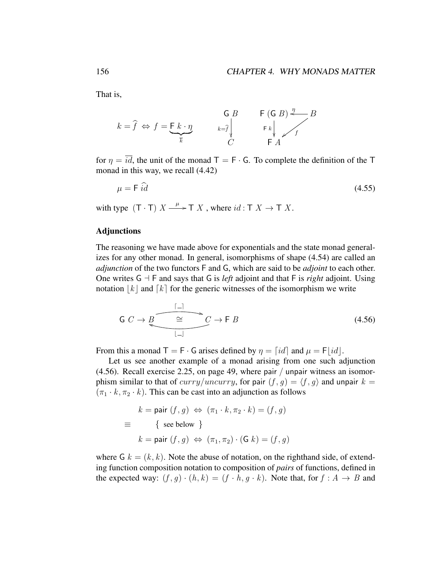That is,

$$
k = \hat{f} \iff f = \underbrace{\mathsf{F} \; k \cdot \eta}_{\overline{k}} \qquad \qquad \underbrace{\mathsf{G} \; B}_{k = \hat{f} \mid \mathsf{F} \; k} \qquad \qquad \mathsf{F} \; (\mathsf{G} \; B) \stackrel{\eta}{\longleftarrow} B}{\mathsf{F} \; A}
$$

for  $\eta = \overline{id}$ , the unit of the monad T = F · G. To complete the definition of the T monad in this way, we recall (4.42)

$$
\mu = \mathsf{F} \,\,\widehat{id} \tag{4.55}
$$

with type  $(T \cdot T) X \xrightarrow{\mu} T X$ , where  $id : T X \to T X$ .

#### Adjunctions

The reasoning we have made above for exponentials and the state monad generalizes for any other monad. In general, isomorphisms of shape (4.54) are called an *adjunction* of the two functors F and G, which are said to be *adjoint* to each other. One writes  $G \dashv F$  and says that G is *left* adjoint and that F is *right* adjoint. Using notation  $|k|$  and  $\lfloor k \rfloor$  for the generic witnesses of the isomorphism we write

$$
\mathsf{G} \ C \to B \xrightarrow{\begin{bmatrix} -1 \\ \cong \\ 1 - 1 \end{bmatrix}} C \to \mathsf{F} \ B \tag{4.56}
$$

From this a monad  $T = F \cdot G$  arises defined by  $\eta = \lceil id \rceil$  and  $\mu = F \cdot d$ .

Let us see another example of a monad arising from one such adjunction (4.56). Recall exercise 2.25, on page 49, where pair / unpair witness an isomorphism similar to that of curry/uncurry, for pair  $(f, g) = \langle f, g \rangle$  and unpair  $k =$  $(\pi_1 \cdot k, \pi_2 \cdot k)$ . This can be cast into an adjunction as follows

$$
k = \text{pair}(f, g) \Leftrightarrow (\pi_1 \cdot k, \pi_2 \cdot k) = (f, g)
$$

$$
\equiv \{ \text{see below } \}
$$

$$
k = \text{pair}(f, g) \Leftrightarrow (\pi_1, \pi_2) \cdot (\text{G } k) = (f, g)
$$

where  $G k = (k, k)$ . Note the abuse of notation, on the righthand side, of extending function composition notation to composition of *pairs* of functions, defined in the expected way:  $(f, g) \cdot (h, k) = (f \cdot h, g \cdot k)$ . Note that, for  $f : A \rightarrow B$  and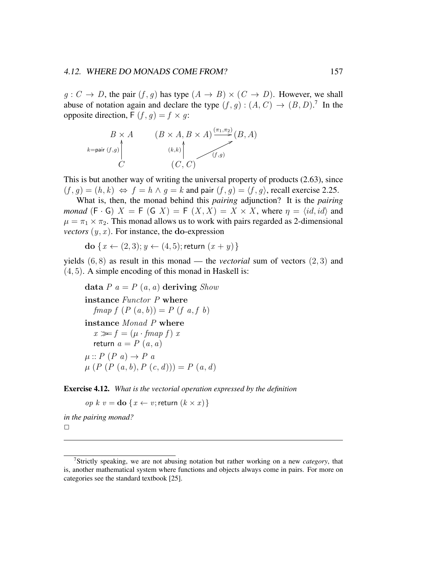#### 4.12. WHERE DO MONADS COME FROM? 157

 $g: C \to D$ , the pair  $(f, g)$  has type  $(A \to B) \times (C \to D)$ . However, we shall abuse of notation again and declare the type  $(f, g) : (A, C) \rightarrow (B, D)$ .<sup>7</sup> In the opposite direction,  $F(f, g) = f \times g$ :

$$
B \times A \qquad (B \times A, B \times A) \xrightarrow{(\pi_1, \pi_2)} (B, A)
$$
  
\n
$$
k = \text{pair } (f,g)
$$
  
\n
$$
C \qquad (C, C)
$$

This is but another way of writing the universal property of products (2.63), since  $(f, q) = (h, k) \Leftrightarrow f = h \wedge q = k$  and pair  $(f, q) = \langle f, q \rangle$ , recall exercise 2.25.

What is, then, the monad behind this *pairing* adjunction? It is the *pairing monad*  $(F \cdot G)$   $X = F(G \mid X) = F(X, X) = X \times X$ , where  $\eta = \langle id, id \rangle$  and  $\mu = \pi_1 \times \pi_2$ . This monad allows us to work with pairs regarded as 2-dimensional *vectors*  $(y, x)$ . For instance, the do-expression

do { $x \leftarrow (2, 3); y \leftarrow (4, 5);$  return  $(x + y)$ }

yields (6, 8) as result in this monad — the *vectorial* sum of vectors (2, 3) and (4, 5). A simple encoding of this monad in Haskell is:

```
data P a = P(a, a) deriving Showinstance Functor P where
  fmap f (P (a, b)) = P (f a, f b)instance Monad P where
  x \gg f = (\mu \cdot \text{fmap } f) xreturn a = P(a, a)\mu :: P(P \ a) \rightarrow P \ a\mu(P(P(a, b), P(c, d))) = P(a, d)
```
Exercise 4.12. *What is the vectorial operation expressed by the definition*

op  $k \, v =$ **do**  $\{x \leftarrow v;$  return  $(k \times x)\}$ 

*in the pairing monad?*  $\Box$ 

<sup>7</sup>Strictly speaking, we are not abusing notation but rather working on a new *category*, that is, another mathematical system where functions and objects always come in pairs. For more on categories see the standard textbook [25].